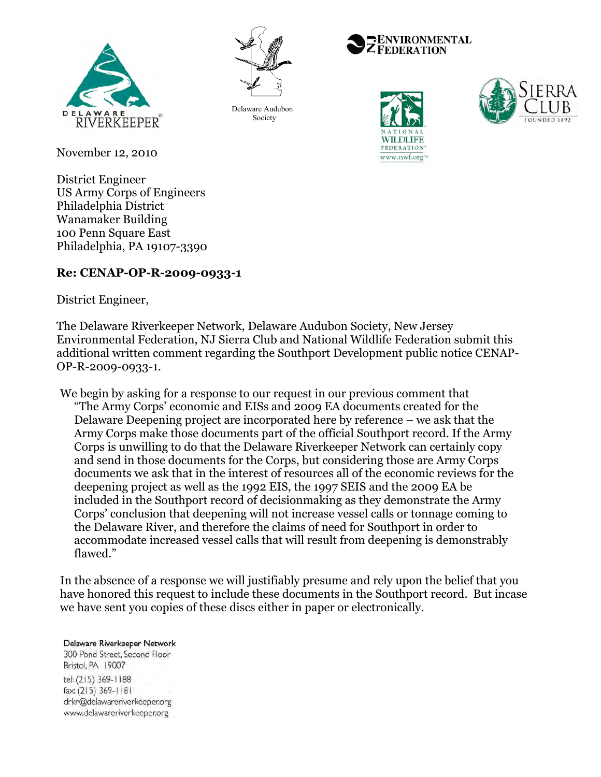



Delaware Audubon Society







November 12, 2010

District Engineer US Army Corps of Engineers Philadelphia District Wanamaker Building 100 Penn Square East Philadelphia, PA 19107-3390

# **Re: CENAP-OP-R-2009-0933-1**

District Engineer,

The Delaware Riverkeeper Network, Delaware Audubon Society, New Jersey Environmental Federation, NJ Sierra Club and National Wildlife Federation submit this additional written comment regarding the Southport Development public notice CENAP-OP-R-2009-0933-1.

We begin by asking for a response to our request in our previous comment that "The Army Corps' economic and EISs and 2009 EA documents created for the Delaware Deepening project are incorporated here by reference – we ask that the Army Corps make those documents part of the official Southport record. If the Army Corps is unwilling to do that the Delaware Riverkeeper Network can certainly copy and send in those documents for the Corps, but considering those are Army Corps documents we ask that in the interest of resources all of the economic reviews for the deepening project as well as the 1992 EIS, the 1997 SEIS and the 2009 EA be included in the Southport record of decisionmaking as they demonstrate the Army Corps' conclusion that deepening will not increase vessel calls or tonnage coming to the Delaware River, and therefore the claims of need for Southport in order to accommodate increased vessel calls that will result from deepening is demonstrably flawed."

In the absence of a response we will justifiably presume and rely upon the belief that you have honored this request to include these documents in the Southport record. But incase we have sent you copies of these discs either in paper or electronically.

#### Delaware Riverkeeper Network

300 Pond Street, Second Floor Bristol, PA 19007 tel: (215) 369-1188 fax: (215) 369-1181 drkn@delawareriverkeeper.org www.delawareriverkeeper.org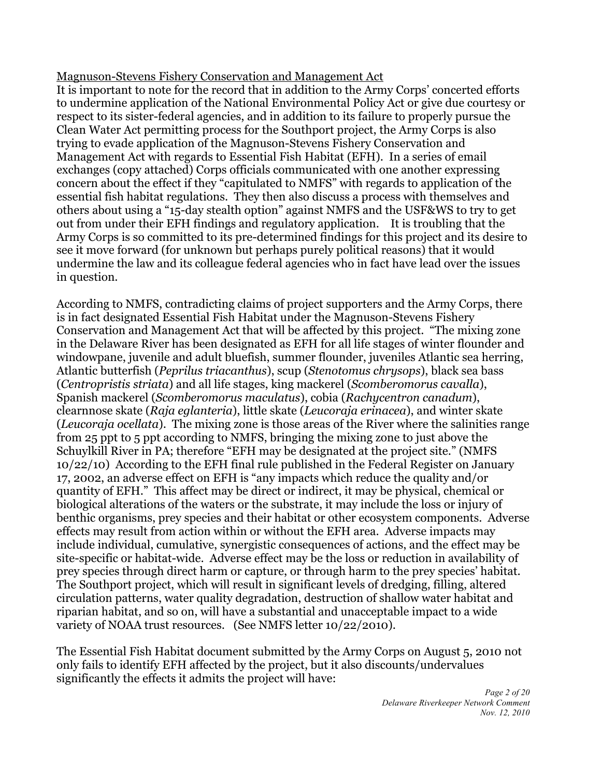## Magnuson-Stevens Fishery Conservation and Management Act

It is important to note for the record that in addition to the Army Corps' concerted efforts to undermine application of the National Environmental Policy Act or give due courtesy or respect to its sister-federal agencies, and in addition to its failure to properly pursue the Clean Water Act permitting process for the Southport project, the Army Corps is also trying to evade application of the Magnuson-Stevens Fishery Conservation and Management Act with regards to Essential Fish Habitat (EFH). In a series of email exchanges (copy attached) Corps officials communicated with one another expressing concern about the effect if they "capitulated to NMFS" with regards to application of the essential fish habitat regulations. They then also discuss a process with themselves and others about using a "15-day stealth option" against NMFS and the USF&WS to try to get out from under their EFH findings and regulatory application. It is troubling that the Army Corps is so committed to its pre-determined findings for this project and its desire to see it move forward (for unknown but perhaps purely political reasons) that it would undermine the law and its colleague federal agencies who in fact have lead over the issues in question.

According to NMFS, contradicting claims of project supporters and the Army Corps, there is in fact designated Essential Fish Habitat under the Magnuson-Stevens Fishery Conservation and Management Act that will be affected by this project. "The mixing zone in the Delaware River has been designated as EFH for all life stages of winter flounder and windowpane, juvenile and adult bluefish, summer flounder, juveniles Atlantic sea herring, Atlantic butterfish (*Peprilus triacanthus*), scup (*Stenotomus chrysops*), black sea bass (*Centropristis striata*) and all life stages, king mackerel (*Scomberomorus cavalla*), Spanish mackerel (*Scomberomorus maculatus*), cobia (*Rachycentron canadum*), clearnnose skate (*Raja eglanteria*), little skate (*Leucoraja erinacea*), and winter skate (*Leucoraja ocellata*). The mixing zone is those areas of the River where the salinities range from 25 ppt to 5 ppt according to NMFS, bringing the mixing zone to just above the Schuylkill River in PA; therefore "EFH may be designated at the project site." (NMFS 10/22/10) According to the EFH final rule published in the Federal Register on January 17, 2002, an adverse effect on EFH is "any impacts which reduce the quality and/or quantity of EFH." This affect may be direct or indirect, it may be physical, chemical or biological alterations of the waters or the substrate, it may include the loss or injury of benthic organisms, prey species and their habitat or other ecosystem components. Adverse effects may result from action within or without the EFH area. Adverse impacts may include individual, cumulative, synergistic consequences of actions, and the effect may be site-specific or habitat-wide. Adverse effect may be the loss or reduction in availability of prey species through direct harm or capture, or through harm to the prey species' habitat. The Southport project, which will result in significant levels of dredging, filling, altered circulation patterns, water quality degradation, destruction of shallow water habitat and riparian habitat, and so on, will have a substantial and unacceptable impact to a wide variety of NOAA trust resources. (See NMFS letter 10/22/2010).

The Essential Fish Habitat document submitted by the Army Corps on August 5, 2010 not only fails to identify EFH affected by the project, but it also discounts/undervalues significantly the effects it admits the project will have: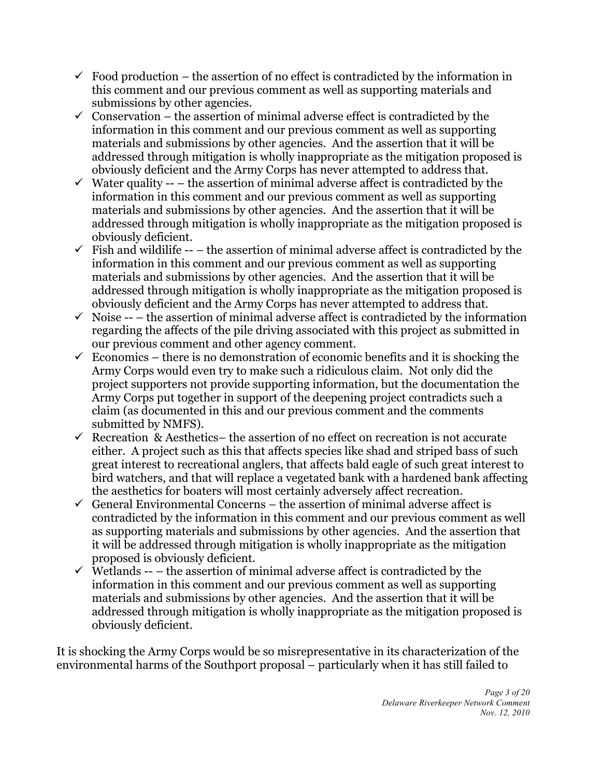- $\checkmark$  Food production the assertion of no effect is contradicted by the information in this comment and our previous comment as well as supporting materials and submissions by other agencies.
- $\checkmark$  Conservation the assertion of minimal adverse effect is contradicted by the information in this comment and our previous comment as well as supporting materials and submissions by other agencies. And the assertion that it will be addressed through mitigation is wholly inappropriate as the mitigation proposed is obviously deficient and the Army Corps has never attempted to address that.
- $\checkmark$  Water quality -- the assertion of minimal adverse affect is contradicted by the information in this comment and our previous comment as well as supporting materials and submissions by other agencies. And the assertion that it will be addressed through mitigation is wholly inappropriate as the mitigation proposed is obviously deficient.
- $\checkmark$  Fish and wildilife -- the assertion of minimal adverse affect is contradicted by the information in this comment and our previous comment as well as supporting materials and submissions by other agencies. And the assertion that it will be addressed through mitigation is wholly inappropriate as the mitigation proposed is obviously deficient and the Army Corps has never attempted to address that.
- $\checkmark$  Noise -- the assertion of minimal adverse affect is contradicted by the information regarding the affects of the pile driving associated with this project as submitted in our previous comment and other agency comment.
- $\checkmark$  Economics there is no demonstration of economic benefits and it is shocking the Army Corps would even try to make such a ridiculous claim. Not only did the project supporters not provide supporting information, but the documentation the Army Corps put together in support of the deepening project contradicts such a claim (as documented in this and our previous comment and the comments submitted by NMFS).
- Recreation & Aesthetics– the assertion of no effect on recreation is not accurate either. A project such as this that affects species like shad and striped bass of such great interest to recreational anglers, that affects bald eagle of such great interest to bird watchers, and that will replace a vegetated bank with a hardened bank affecting the aesthetics for boaters will most certainly adversely affect recreation.
- $\checkmark$  General Environmental Concerns the assertion of minimal adverse affect is contradicted by the information in this comment and our previous comment as well as supporting materials and submissions by other agencies. And the assertion that it will be addressed through mitigation is wholly inappropriate as the mitigation proposed is obviously deficient.
- $\checkmark$  Wetlands -- the assertion of minimal adverse affect is contradicted by the information in this comment and our previous comment as well as supporting materials and submissions by other agencies. And the assertion that it will be addressed through mitigation is wholly inappropriate as the mitigation proposed is obviously deficient.

It is shocking the Army Corps would be so misrepresentative in its characterization of the environmental harms of the Southport proposal – particularly when it has still failed to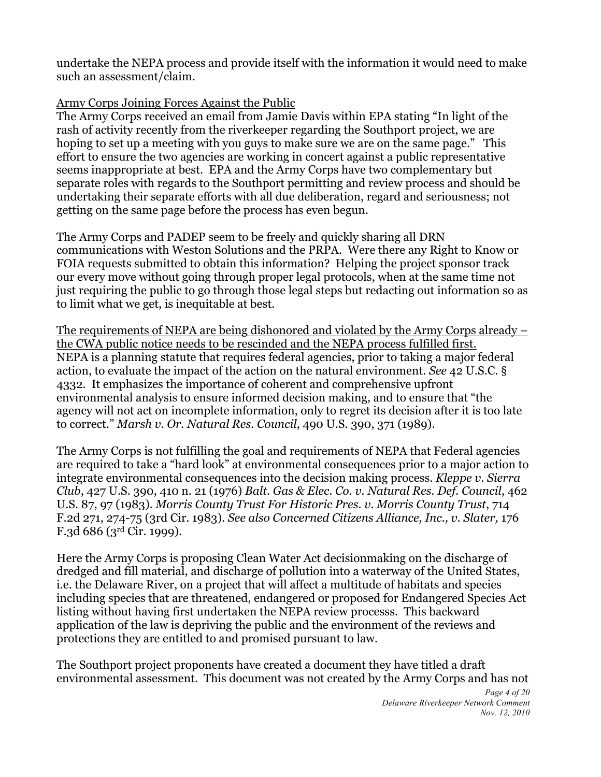undertake the NEPA process and provide itself with the information it would need to make such an assessment/claim.

# Army Corps Joining Forces Against the Public

The Army Corps received an email from Jamie Davis within EPA stating "In light of the rash of activity recently from the riverkeeper regarding the Southport project, we are hoping to set up a meeting with you guys to make sure we are on the same page." This effort to ensure the two agencies are working in concert against a public representative seems inappropriate at best. EPA and the Army Corps have two complementary but separate roles with regards to the Southport permitting and review process and should be undertaking their separate efforts with all due deliberation, regard and seriousness; not getting on the same page before the process has even begun.

The Army Corps and PADEP seem to be freely and quickly sharing all DRN communications with Weston Solutions and the PRPA. Were there any Right to Know or FOIA requests submitted to obtain this information? Helping the project sponsor track our every move without going through proper legal protocols, when at the same time not just requiring the public to go through those legal steps but redacting out information so as to limit what we get, is inequitable at best.

The requirements of NEPA are being dishonored and violated by the Army Corps already – the CWA public notice needs to be rescinded and the NEPA process fulfilled first. NEPA is a planning statute that requires federal agencies, prior to taking a major federal action, to evaluate the impact of the action on the natural environment. *See* 42 U.S.C. § 4332. It emphasizes the importance of coherent and comprehensive upfront environmental analysis to ensure informed decision making, and to ensure that "the agency will not act on incomplete information, only to regret its decision after it is too late to correct." *Marsh v. Or. Natural Res. Council*, 490 U.S. 390, 371 (1989).

The Army Corps is not fulfilling the goal and requirements of NEPA that Federal agencies are required to take a "hard look" at environmental consequences prior to a major action to integrate environmental consequences into the decision making process. *Kleppe v. Sierra Club*, 427 U.S. 390, 410 n. 21 (1976) *Balt. Gas & Elec. Co. v. Natural Res. Def. Council*, 462 U.S. 87, 97 (1983). *Morris County Trust For Historic Pres. v. Morris County Trust*, 714 F.2d 271, 274-75 (3rd Cir. 1983). *See also Concerned Citizens Alliance, Inc., v. Slater,* 176 F.3d 686 (3rd Cir. 1999).

Here the Army Corps is proposing Clean Water Act decisionmaking on the discharge of dredged and fill material, and discharge of pollution into a waterway of the United States, i.e. the Delaware River, on a project that will affect a multitude of habitats and species including species that are threatened, endangered or proposed for Endangered Species Act listing without having first undertaken the NEPA review processs. This backward application of the law is depriving the public and the environment of the reviews and protections they are entitled to and promised pursuant to law.

The Southport project proponents have created a document they have titled a draft environmental assessment. This document was not created by the Army Corps and has not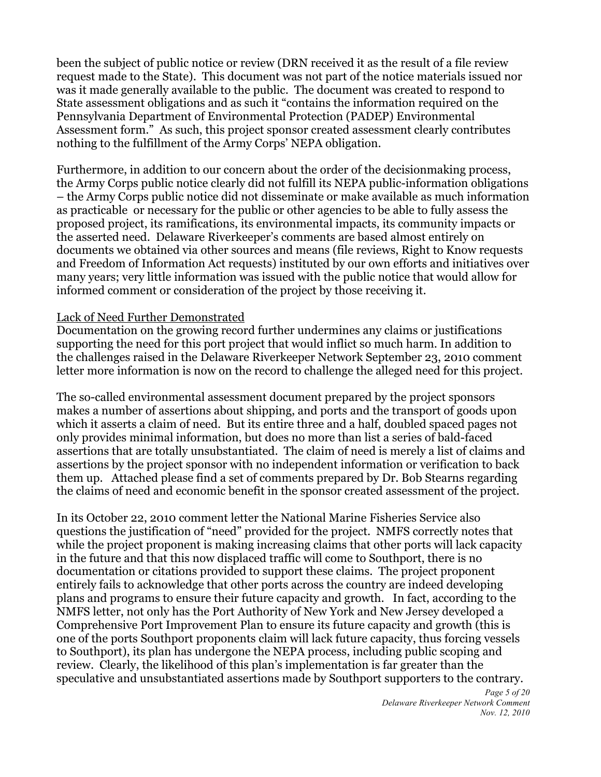been the subject of public notice or review (DRN received it as the result of a file review request made to the State). This document was not part of the notice materials issued nor was it made generally available to the public. The document was created to respond to State assessment obligations and as such it "contains the information required on the Pennsylvania Department of Environmental Protection (PADEP) Environmental Assessment form." As such, this project sponsor created assessment clearly contributes nothing to the fulfillment of the Army Corps' NEPA obligation.

Furthermore, in addition to our concern about the order of the decisionmaking process, the Army Corps public notice clearly did not fulfill its NEPA public-information obligations – the Army Corps public notice did not disseminate or make available as much information as practicable or necessary for the public or other agencies to be able to fully assess the proposed project, its ramifications, its environmental impacts, its community impacts or the asserted need. Delaware Riverkeeper's comments are based almost entirely on documents we obtained via other sources and means (file reviews, Right to Know requests and Freedom of Information Act requests) instituted by our own efforts and initiatives over many years; very little information was issued with the public notice that would allow for informed comment or consideration of the project by those receiving it.

#### Lack of Need Further Demonstrated

Documentation on the growing record further undermines any claims or justifications supporting the need for this port project that would inflict so much harm. In addition to the challenges raised in the Delaware Riverkeeper Network September 23, 2010 comment letter more information is now on the record to challenge the alleged need for this project.

The so-called environmental assessment document prepared by the project sponsors makes a number of assertions about shipping, and ports and the transport of goods upon which it asserts a claim of need. But its entire three and a half, doubled spaced pages not only provides minimal information, but does no more than list a series of bald-faced assertions that are totally unsubstantiated. The claim of need is merely a list of claims and assertions by the project sponsor with no independent information or verification to back them up. Attached please find a set of comments prepared by Dr. Bob Stearns regarding the claims of need and economic benefit in the sponsor created assessment of the project.

In its October 22, 2010 comment letter the National Marine Fisheries Service also questions the justification of "need" provided for the project. NMFS correctly notes that while the project proponent is making increasing claims that other ports will lack capacity in the future and that this now displaced traffic will come to Southport, there is no documentation or citations provided to support these claims. The project proponent entirely fails to acknowledge that other ports across the country are indeed developing plans and programs to ensure their future capacity and growth. In fact, according to the NMFS letter, not only has the Port Authority of New York and New Jersey developed a Comprehensive Port Improvement Plan to ensure its future capacity and growth (this is one of the ports Southport proponents claim will lack future capacity, thus forcing vessels to Southport), its plan has undergone the NEPA process, including public scoping and review. Clearly, the likelihood of this plan's implementation is far greater than the speculative and unsubstantiated assertions made by Southport supporters to the contrary.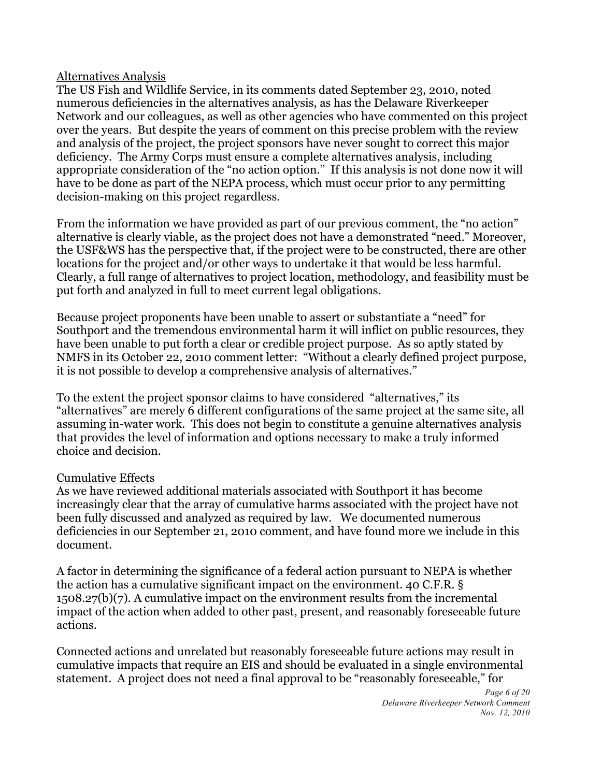## Alternatives Analysis

The US Fish and Wildlife Service, in its comments dated September 23, 2010, noted numerous deficiencies in the alternatives analysis, as has the Delaware Riverkeeper Network and our colleagues, as well as other agencies who have commented on this project over the years. But despite the years of comment on this precise problem with the review and analysis of the project, the project sponsors have never sought to correct this major deficiency. The Army Corps must ensure a complete alternatives analysis, including appropriate consideration of the "no action option." If this analysis is not done now it will have to be done as part of the NEPA process, which must occur prior to any permitting decision-making on this project regardless.

From the information we have provided as part of our previous comment, the "no action" alternative is clearly viable, as the project does not have a demonstrated "need." Moreover, the USF&WS has the perspective that, if the project were to be constructed, there are other locations for the project and/or other ways to undertake it that would be less harmful. Clearly, a full range of alternatives to project location, methodology, and feasibility must be put forth and analyzed in full to meet current legal obligations.

Because project proponents have been unable to assert or substantiate a "need" for Southport and the tremendous environmental harm it will inflict on public resources, they have been unable to put forth a clear or credible project purpose. As so aptly stated by NMFS in its October 22, 2010 comment letter: "Without a clearly defined project purpose, it is not possible to develop a comprehensive analysis of alternatives."

To the extent the project sponsor claims to have considered "alternatives," its "alternatives" are merely 6 different configurations of the same project at the same site, all assuming in-water work. This does not begin to constitute a genuine alternatives analysis that provides the level of information and options necessary to make a truly informed choice and decision.

# Cumulative Effects

As we have reviewed additional materials associated with Southport it has become increasingly clear that the array of cumulative harms associated with the project have not been fully discussed and analyzed as required by law. We documented numerous deficiencies in our September 21, 2010 comment, and have found more we include in this document.

A factor in determining the significance of a federal action pursuant to NEPA is whether the action has a cumulative significant impact on the environment. 40 C.F.R. § 1508.27(b)(7). A cumulative impact on the environment results from the incremental impact of the action when added to other past, present, and reasonably foreseeable future actions.

Connected actions and unrelated but reasonably foreseeable future actions may result in cumulative impacts that require an EIS and should be evaluated in a single environmental statement. A project does not need a final approval to be "reasonably foreseeable," for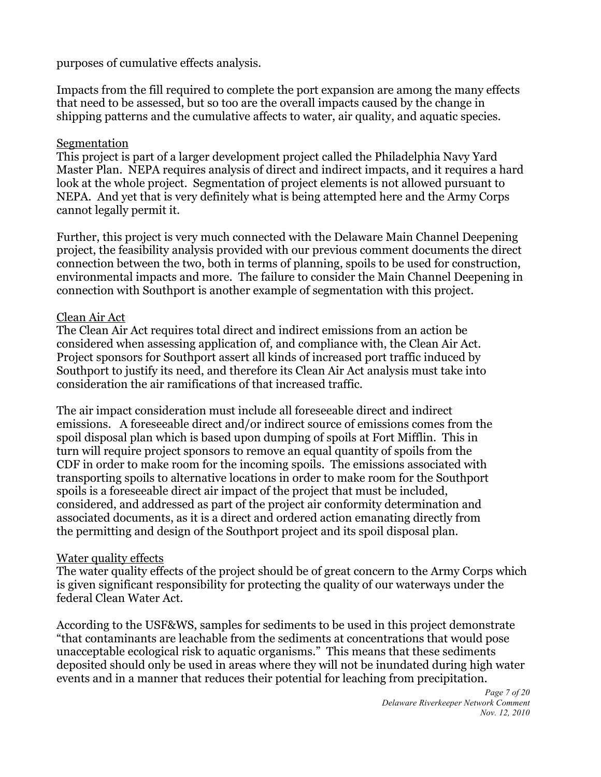purposes of cumulative effects analysis.

Impacts from the fill required to complete the port expansion are among the many effects that need to be assessed, but so too are the overall impacts caused by the change in shipping patterns and the cumulative affects to water, air quality, and aquatic species.

# Segmentation

This project is part of a larger development project called the Philadelphia Navy Yard Master Plan. NEPA requires analysis of direct and indirect impacts, and it requires a hard look at the whole project. Segmentation of project elements is not allowed pursuant to NEPA. And yet that is very definitely what is being attempted here and the Army Corps cannot legally permit it.

Further, this project is very much connected with the Delaware Main Channel Deepening project, the feasibility analysis provided with our previous comment documents the direct connection between the two, both in terms of planning, spoils to be used for construction, environmental impacts and more. The failure to consider the Main Channel Deepening in connection with Southport is another example of segmentation with this project.

## Clean Air Act

The Clean Air Act requires total direct and indirect emissions from an action be considered when assessing application of, and compliance with, the Clean Air Act. Project sponsors for Southport assert all kinds of increased port traffic induced by Southport to justify its need, and therefore its Clean Air Act analysis must take into consideration the air ramifications of that increased traffic.

The air impact consideration must include all foreseeable direct and indirect emissions. A foreseeable direct and/or indirect source of emissions comes from the spoil disposal plan which is based upon dumping of spoils at Fort Mifflin. This in turn will require project sponsors to remove an equal quantity of spoils from the CDF in order to make room for the incoming spoils. The emissions associated with transporting spoils to alternative locations in order to make room for the Southport spoils is a foreseeable direct air impact of the project that must be included, considered, and addressed as part of the project air conformity determination and associated documents, as it is a direct and ordered action emanating directly from the permitting and design of the Southport project and its spoil disposal plan.

# Water quality effects

The water quality effects of the project should be of great concern to the Army Corps which is given significant responsibility for protecting the quality of our waterways under the federal Clean Water Act.

According to the USF&WS, samples for sediments to be used in this project demonstrate "that contaminants are leachable from the sediments at concentrations that would pose unacceptable ecological risk to aquatic organisms." This means that these sediments deposited should only be used in areas where they will not be inundated during high water events and in a manner that reduces their potential for leaching from precipitation.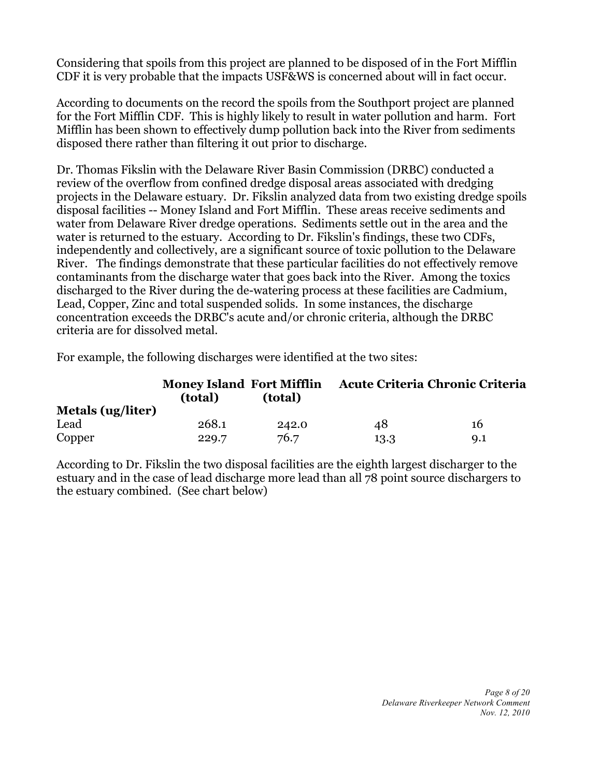Considering that spoils from this project are planned to be disposed of in the Fort Mifflin CDF it is very probable that the impacts USF&WS is concerned about will in fact occur.

According to documents on the record the spoils from the Southport project are planned for the Fort Mifflin CDF. This is highly likely to result in water pollution and harm. Fort Mifflin has been shown to effectively dump pollution back into the River from sediments disposed there rather than filtering it out prior to discharge.

Dr. Thomas Fikslin with the Delaware River Basin Commission (DRBC) conducted a review of the overflow from confined dredge disposal areas associated with dredging projects in the Delaware estuary. Dr. Fikslin analyzed data from two existing dredge spoils disposal facilities -- Money Island and Fort Mifflin. These areas receive sediments and water from Delaware River dredge operations. Sediments settle out in the area and the water is returned to the estuary. According to Dr. Fikslin's findings, these two CDFs, independently and collectively, are a significant source of toxic pollution to the Delaware River. The findings demonstrate that these particular facilities do not effectively remove contaminants from the discharge water that goes back into the River. Among the toxics discharged to the River during the de-watering process at these facilities are Cadmium, Lead, Copper, Zinc and total suspended solids. In some instances, the discharge concentration exceeds the DRBC's acute and/or chronic criteria, although the DRBC criteria are for dissolved metal.

For example, the following discharges were identified at the two sites:

|                          | <b>Money Island Fort Mifflin</b><br>(total)<br>(total) |       | Acute Criteria Chronic Criteria |                |
|--------------------------|--------------------------------------------------------|-------|---------------------------------|----------------|
| <b>Metals (ug/liter)</b> |                                                        |       |                                 |                |
| Lead                     | 268.1                                                  | 242.0 | 48                              | 16             |
| Copper                   | 229.7                                                  | 76.7  | 13.3                            | Q <sub>1</sub> |

According to Dr. Fikslin the two disposal facilities are the eighth largest discharger to the estuary and in the case of lead discharge more lead than all 78 point source dischargers to the estuary combined. (See chart below)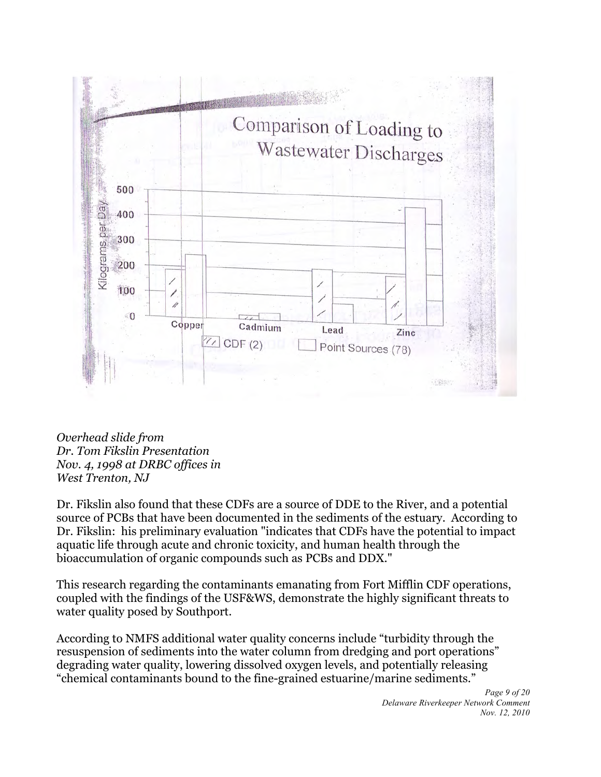

*Overhead slide from Dr. Tom Fikslin Presentation Nov. 4, 1998 at DRBC offices in West Trenton, NJ*

Dr. Fikslin also found that these CDFs are a source of DDE to the River, and a potential source of PCBs that have been documented in the sediments of the estuary. According to Dr. Fikslin: his preliminary evaluation "indicates that CDFs have the potential to impact aquatic life through acute and chronic toxicity, and human health through the bioaccumulation of organic compounds such as PCBs and DDX."

This research regarding the contaminants emanating from Fort Mifflin CDF operations, coupled with the findings of the USF&WS, demonstrate the highly significant threats to water quality posed by Southport.

According to NMFS additional water quality concerns include "turbidity through the resuspension of sediments into the water column from dredging and port operations" degrading water quality, lowering dissolved oxygen levels, and potentially releasing "chemical contaminants bound to the fine-grained estuarine/marine sediments."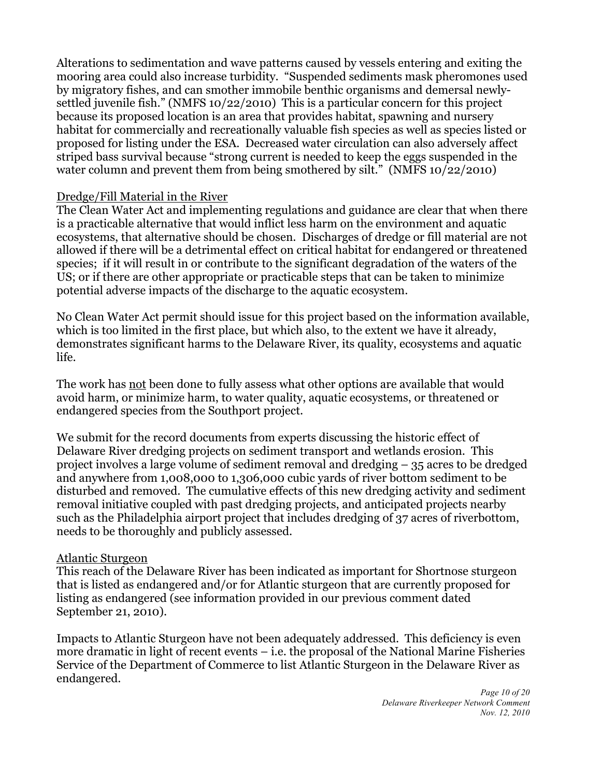Alterations to sedimentation and wave patterns caused by vessels entering and exiting the mooring area could also increase turbidity. "Suspended sediments mask pheromones used by migratory fishes, and can smother immobile benthic organisms and demersal newlysettled juvenile fish." (NMFS 10/22/2010) This is a particular concern for this project because its proposed location is an area that provides habitat, spawning and nursery habitat for commercially and recreationally valuable fish species as well as species listed or proposed for listing under the ESA. Decreased water circulation can also adversely affect striped bass survival because "strong current is needed to keep the eggs suspended in the water column and prevent them from being smothered by silt." (NMFS 10/22/2010)

## Dredge/Fill Material in the River

The Clean Water Act and implementing regulations and guidance are clear that when there is a practicable alternative that would inflict less harm on the environment and aquatic ecosystems, that alternative should be chosen. Discharges of dredge or fill material are not allowed if there will be a detrimental effect on critical habitat for endangered or threatened species; if it will result in or contribute to the significant degradation of the waters of the US; or if there are other appropriate or practicable steps that can be taken to minimize potential adverse impacts of the discharge to the aquatic ecosystem.

No Clean Water Act permit should issue for this project based on the information available, which is too limited in the first place, but which also, to the extent we have it already, demonstrates significant harms to the Delaware River, its quality, ecosystems and aquatic life.

The work has not been done to fully assess what other options are available that would avoid harm, or minimize harm, to water quality, aquatic ecosystems, or threatened or endangered species from the Southport project.

We submit for the record documents from experts discussing the historic effect of Delaware River dredging projects on sediment transport and wetlands erosion. This project involves a large volume of sediment removal and dredging – 35 acres to be dredged and anywhere from 1,008,000 to 1,306,000 cubic yards of river bottom sediment to be disturbed and removed. The cumulative effects of this new dredging activity and sediment removal initiative coupled with past dredging projects, and anticipated projects nearby such as the Philadelphia airport project that includes dredging of 37 acres of riverbottom, needs to be thoroughly and publicly assessed.

## Atlantic Sturgeon

This reach of the Delaware River has been indicated as important for Shortnose sturgeon that is listed as endangered and/or for Atlantic sturgeon that are currently proposed for listing as endangered (see information provided in our previous comment dated September 21, 2010).

Impacts to Atlantic Sturgeon have not been adequately addressed. This deficiency is even more dramatic in light of recent events – i.e. the proposal of the National Marine Fisheries Service of the Department of Commerce to list Atlantic Sturgeon in the Delaware River as endangered.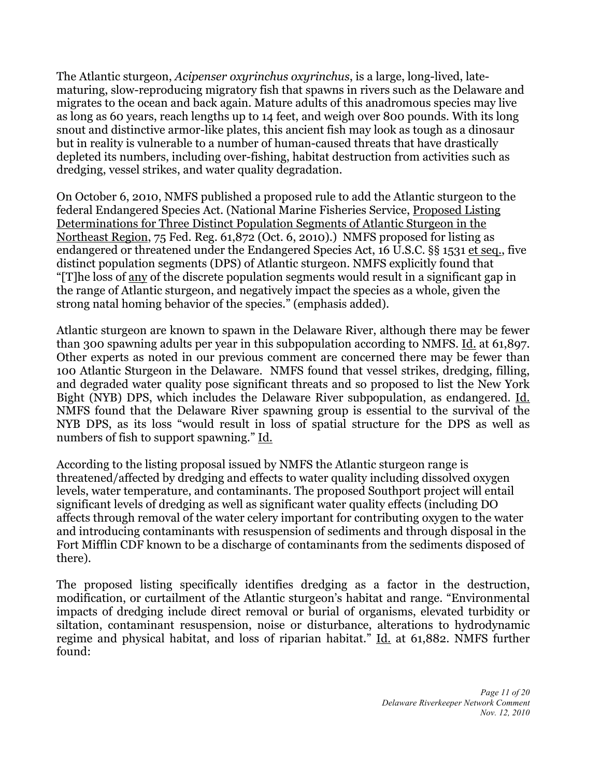The Atlantic sturgeon, *Acipenser oxyrinchus oxyrinchus*, is a large, long-lived, latematuring, slow-reproducing migratory fish that spawns in rivers such as the Delaware and migrates to the ocean and back again. Mature adults of this anadromous species may live as long as 60 years, reach lengths up to 14 feet, and weigh over 800 pounds. With its long snout and distinctive armor-like plates, this ancient fish may look as tough as a dinosaur but in reality is vulnerable to a number of human-caused threats that have drastically depleted its numbers, including over-fishing, habitat destruction from activities such as dredging, vessel strikes, and water quality degradation.

On October 6, 2010, NMFS published a proposed rule to add the Atlantic sturgeon to the federal Endangered Species Act. (National Marine Fisheries Service, Proposed Listing Determinations for Three Distinct Population Segments of Atlantic Sturgeon in the Northeast Region, 75 Fed. Reg. 61,872 (Oct. 6, 2010).) NMFS proposed for listing as endangered or threatened under the Endangered Species Act, 16 U.S.C. §§ 1531 et seq., five distinct population segments (DPS) of Atlantic sturgeon. NMFS explicitly found that "[T]he loss of any of the discrete population segments would result in a significant gap in the range of Atlantic sturgeon, and negatively impact the species as a whole, given the strong natal homing behavior of the species." (emphasis added).

Atlantic sturgeon are known to spawn in the Delaware River, although there may be fewer than 300 spawning adults per year in this subpopulation according to NMFS. Id. at 61,897. Other experts as noted in our previous comment are concerned there may be fewer than 100 Atlantic Sturgeon in the Delaware. NMFS found that vessel strikes, dredging, filling, and degraded water quality pose significant threats and so proposed to list the New York Bight (NYB) DPS, which includes the Delaware River subpopulation, as endangered. Id. NMFS found that the Delaware River spawning group is essential to the survival of the NYB DPS, as its loss "would result in loss of spatial structure for the DPS as well as numbers of fish to support spawning." Id.

According to the listing proposal issued by NMFS the Atlantic sturgeon range is threatened/affected by dredging and effects to water quality including dissolved oxygen levels, water temperature, and contaminants. The proposed Southport project will entail significant levels of dredging as well as significant water quality effects (including DO affects through removal of the water celery important for contributing oxygen to the water and introducing contaminants with resuspension of sediments and through disposal in the Fort Mifflin CDF known to be a discharge of contaminants from the sediments disposed of there).

The proposed listing specifically identifies dredging as a factor in the destruction, modification, or curtailment of the Atlantic sturgeon's habitat and range. "Environmental impacts of dredging include direct removal or burial of organisms, elevated turbidity or siltation, contaminant resuspension, noise or disturbance, alterations to hydrodynamic regime and physical habitat, and loss of riparian habitat." Id. at 61,882. NMFS further found: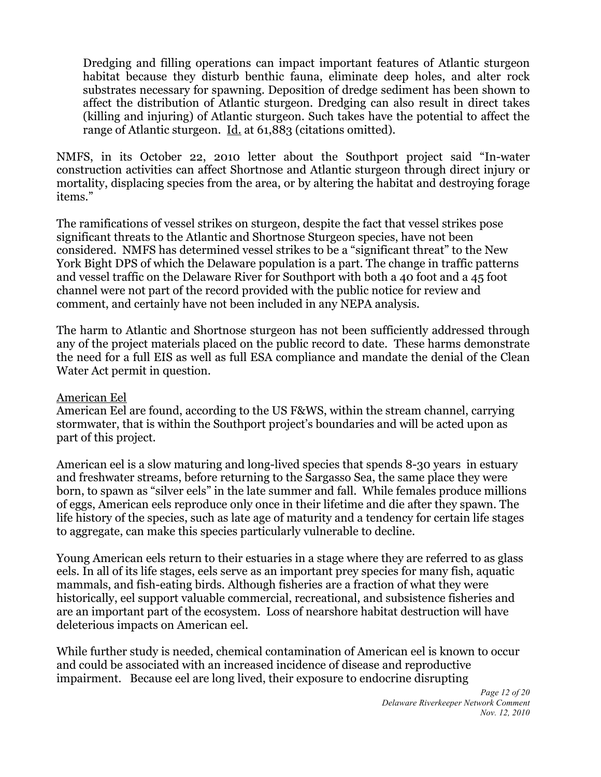Dredging and filling operations can impact important features of Atlantic sturgeon habitat because they disturb benthic fauna, eliminate deep holes, and alter rock substrates necessary for spawning. Deposition of dredge sediment has been shown to affect the distribution of Atlantic sturgeon. Dredging can also result in direct takes (killing and injuring) of Atlantic sturgeon. Such takes have the potential to affect the range of Atlantic sturgeon. Id. at 61,883 (citations omitted).

NMFS, in its October 22, 2010 letter about the Southport project said "In-water construction activities can affect Shortnose and Atlantic sturgeon through direct injury or mortality, displacing species from the area, or by altering the habitat and destroying forage items."

The ramifications of vessel strikes on sturgeon, despite the fact that vessel strikes pose significant threats to the Atlantic and Shortnose Sturgeon species, have not been considered. NMFS has determined vessel strikes to be a "significant threat" to the New York Bight DPS of which the Delaware population is a part. The change in traffic patterns and vessel traffic on the Delaware River for Southport with both a 40 foot and a 45 foot channel were not part of the record provided with the public notice for review and comment, and certainly have not been included in any NEPA analysis.

The harm to Atlantic and Shortnose sturgeon has not been sufficiently addressed through any of the project materials placed on the public record to date. These harms demonstrate the need for a full EIS as well as full ESA compliance and mandate the denial of the Clean Water Act permit in question.

## American Eel

American Eel are found, according to the US F&WS, within the stream channel, carrying stormwater, that is within the Southport project's boundaries and will be acted upon as part of this project.

American eel is a slow maturing and long-lived species that spends 8-30 years in estuary and freshwater streams, before returning to the Sargasso Sea, the same place they were born, to spawn as "silver eels" in the late summer and fall. While females produce millions of eggs, American eels reproduce only once in their lifetime and die after they spawn. The life history of the species, such as late age of maturity and a tendency for certain life stages to aggregate, can make this species particularly vulnerable to decline.

Young American eels return to their estuaries in a stage where they are referred to as glass eels. In all of its life stages, eels serve as an important prey species for many fish, aquatic mammals, and fish-eating birds. Although fisheries are a fraction of what they were historically, eel support valuable commercial, recreational, and subsistence fisheries and are an important part of the ecosystem. Loss of nearshore habitat destruction will have deleterious impacts on American eel.

While further study is needed, chemical contamination of American eel is known to occur and could be associated with an increased incidence of disease and reproductive impairment. Because eel are long lived, their exposure to endocrine disrupting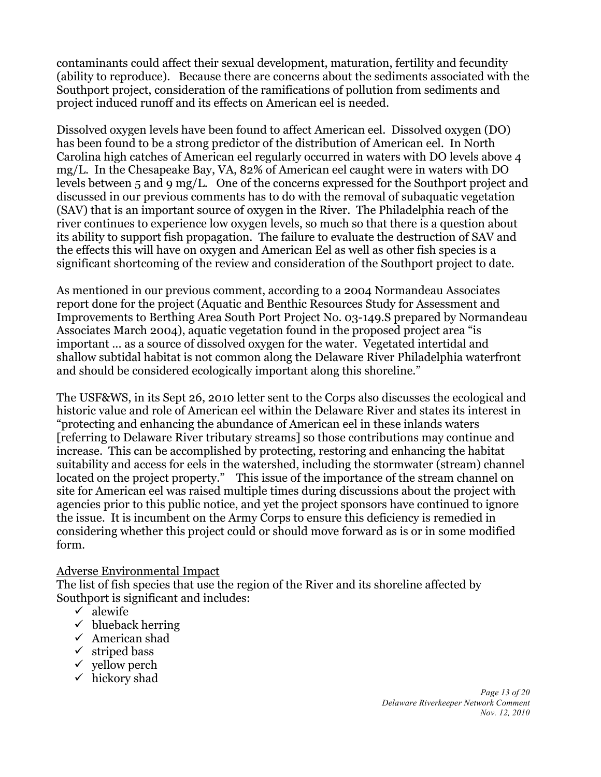contaminants could affect their sexual development, maturation, fertility and fecundity (ability to reproduce). Because there are concerns about the sediments associated with the Southport project, consideration of the ramifications of pollution from sediments and project induced runoff and its effects on American eel is needed.

Dissolved oxygen levels have been found to affect American eel. Dissolved oxygen (DO) has been found to be a strong predictor of the distribution of American eel. In North Carolina high catches of American eel regularly occurred in waters with DO levels above 4 mg/L. In the Chesapeake Bay, VA, 82% of American eel caught were in waters with DO levels between 5 and 9 mg/L. One of the concerns expressed for the Southport project and discussed in our previous comments has to do with the removal of subaquatic vegetation (SAV) that is an important source of oxygen in the River. The Philadelphia reach of the river continues to experience low oxygen levels, so much so that there is a question about its ability to support fish propagation. The failure to evaluate the destruction of SAV and the effects this will have on oxygen and American Eel as well as other fish species is a significant shortcoming of the review and consideration of the Southport project to date.

As mentioned in our previous comment, according to a 2004 Normandeau Associates report done for the project (Aquatic and Benthic Resources Study for Assessment and Improvements to Berthing Area South Port Project No. 03-149.S prepared by Normandeau Associates March 2004), aquatic vegetation found in the proposed project area "is important ... as a source of dissolved oxygen for the water. Vegetated intertidal and shallow subtidal habitat is not common along the Delaware River Philadelphia waterfront and should be considered ecologically important along this shoreline."

The USF&WS, in its Sept 26, 2010 letter sent to the Corps also discusses the ecological and historic value and role of American eel within the Delaware River and states its interest in "protecting and enhancing the abundance of American eel in these inlands waters [referring to Delaware River tributary streams] so those contributions may continue and increase. This can be accomplished by protecting, restoring and enhancing the habitat suitability and access for eels in the watershed, including the stormwater (stream) channel located on the project property." This issue of the importance of the stream channel on site for American eel was raised multiple times during discussions about the project with agencies prior to this public notice, and yet the project sponsors have continued to ignore the issue. It is incumbent on the Army Corps to ensure this deficiency is remedied in considering whether this project could or should move forward as is or in some modified form.

# Adverse Environmental Impact

The list of fish species that use the region of the River and its shoreline affected by Southport is significant and includes:

- $\sqrt{\phantom{a}}$ alewife
- $\checkmark$  blueback herring
- $\checkmark$  American shad
- $\checkmark$  striped bass
- $\checkmark$  vellow perch
- $\checkmark$  hickory shad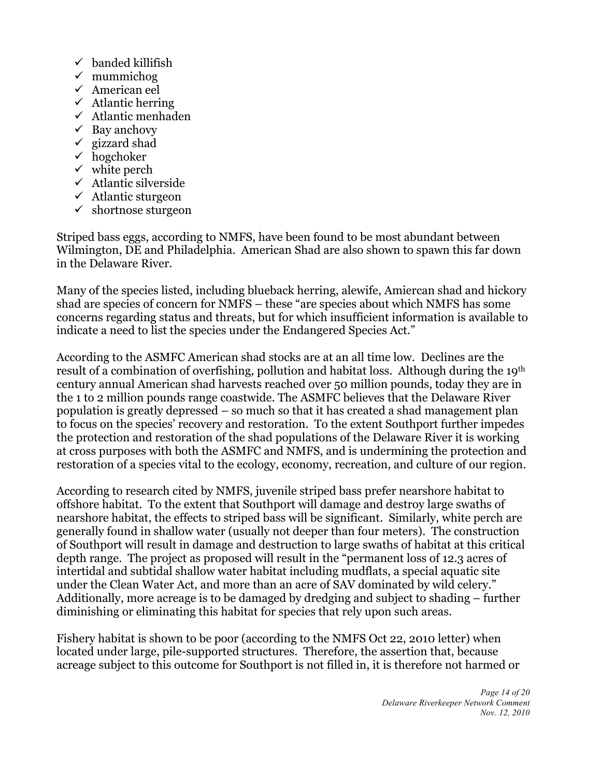- $\checkmark$  banded killifish
- $\checkmark$  mummichog
- $\checkmark$  American eel
- $\checkmark$  Atlantic herring
- $\checkmark$  Atlantic menhaden
- $\checkmark$  Bay anchovy
- $\checkmark$  gizzard shad
- $\checkmark$  hogchoker
- $\checkmark$  white perch
- $\checkmark$  Atlantic silverside
- $\checkmark$  Atlantic sturgeon
- $\checkmark$  shortnose sturgeon

Striped bass eggs, according to NMFS, have been found to be most abundant between Wilmington, DE and Philadelphia. American Shad are also shown to spawn this far down in the Delaware River.

Many of the species listed, including blueback herring, alewife, Amiercan shad and hickory shad are species of concern for NMFS – these "are species about which NMFS has some concerns regarding status and threats, but for which insufficient information is available to indicate a need to list the species under the Endangered Species Act."

According to the ASMFC American shad stocks are at an all time low. Declines are the result of a combination of overfishing, pollution and habitat loss. Although during the 19th century annual American shad harvests reached over 50 million pounds, today they are in the 1 to 2 million pounds range coastwide. The ASMFC believes that the Delaware River population is greatly depressed – so much so that it has created a shad management plan to focus on the species' recovery and restoration. To the extent Southport further impedes the protection and restoration of the shad populations of the Delaware River it is working at cross purposes with both the ASMFC and NMFS, and is undermining the protection and restoration of a species vital to the ecology, economy, recreation, and culture of our region.

According to research cited by NMFS, juvenile striped bass prefer nearshore habitat to offshore habitat. To the extent that Southport will damage and destroy large swaths of nearshore habitat, the effects to striped bass will be significant. Similarly, white perch are generally found in shallow water (usually not deeper than four meters). The construction of Southport will result in damage and destruction to large swaths of habitat at this critical depth range. The project as proposed will result in the "permanent loss of 12.3 acres of intertidal and subtidal shallow water habitat including mudflats, a special aquatic site under the Clean Water Act, and more than an acre of SAV dominated by wild celery." Additionally, more acreage is to be damaged by dredging and subject to shading – further diminishing or eliminating this habitat for species that rely upon such areas.

Fishery habitat is shown to be poor (according to the NMFS Oct 22, 2010 letter) when located under large, pile-supported structures. Therefore, the assertion that, because acreage subject to this outcome for Southport is not filled in, it is therefore not harmed or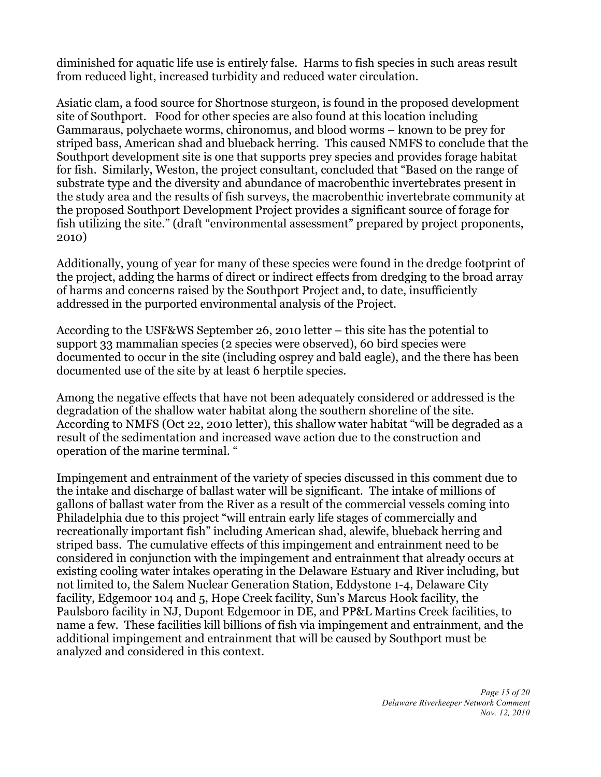diminished for aquatic life use is entirely false. Harms to fish species in such areas result from reduced light, increased turbidity and reduced water circulation.

Asiatic clam, a food source for Shortnose sturgeon, is found in the proposed development site of Southport. Food for other species are also found at this location including Gammaraus, polychaete worms, chironomus, and blood worms – known to be prey for striped bass, American shad and blueback herring. This caused NMFS to conclude that the Southport development site is one that supports prey species and provides forage habitat for fish. Similarly, Weston, the project consultant, concluded that "Based on the range of substrate type and the diversity and abundance of macrobenthic invertebrates present in the study area and the results of fish surveys, the macrobenthic invertebrate community at the proposed Southport Development Project provides a significant source of forage for fish utilizing the site." (draft "environmental assessment" prepared by project proponents, 2010)

Additionally, young of year for many of these species were found in the dredge footprint of the project, adding the harms of direct or indirect effects from dredging to the broad array of harms and concerns raised by the Southport Project and, to date, insufficiently addressed in the purported environmental analysis of the Project.

According to the USF&WS September 26, 2010 letter – this site has the potential to support 33 mammalian species (2 species were observed), 60 bird species were documented to occur in the site (including osprey and bald eagle), and the there has been documented use of the site by at least 6 herptile species.

Among the negative effects that have not been adequately considered or addressed is the degradation of the shallow water habitat along the southern shoreline of the site. According to NMFS (Oct 22, 2010 letter), this shallow water habitat "will be degraded as a result of the sedimentation and increased wave action due to the construction and operation of the marine terminal. "

Impingement and entrainment of the variety of species discussed in this comment due to the intake and discharge of ballast water will be significant. The intake of millions of gallons of ballast water from the River as a result of the commercial vessels coming into Philadelphia due to this project "will entrain early life stages of commercially and recreationally important fish" including American shad, alewife, blueback herring and striped bass. The cumulative effects of this impingement and entrainment need to be considered in conjunction with the impingement and entrainment that already occurs at existing cooling water intakes operating in the Delaware Estuary and River including, but not limited to, the Salem Nuclear Generation Station, Eddystone 1-4, Delaware City facility, Edgemoor 104 and 5, Hope Creek facility, Sun's Marcus Hook facility, the Paulsboro facility in NJ, Dupont Edgemoor in DE, and PP&L Martins Creek facilities, to name a few. These facilities kill billions of fish via impingement and entrainment, and the additional impingement and entrainment that will be caused by Southport must be analyzed and considered in this context.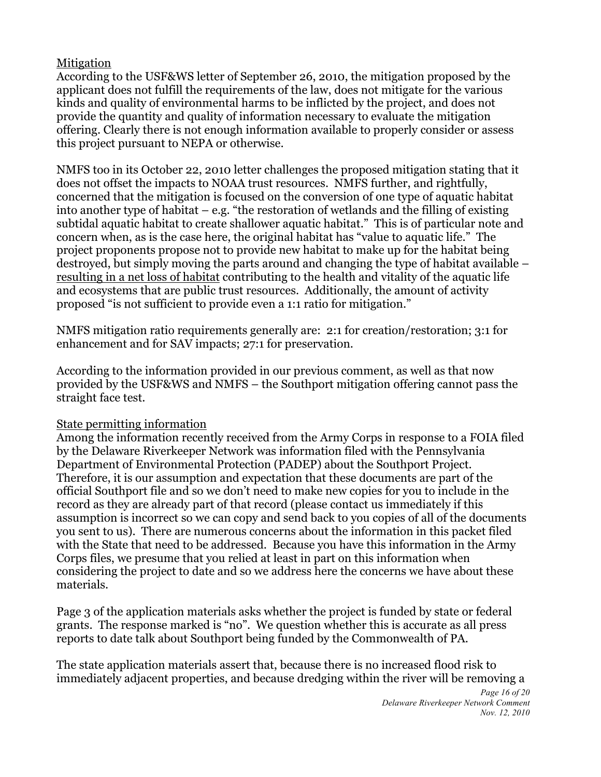# Mitigation

According to the USF&WS letter of September 26, 2010, the mitigation proposed by the applicant does not fulfill the requirements of the law, does not mitigate for the various kinds and quality of environmental harms to be inflicted by the project, and does not provide the quantity and quality of information necessary to evaluate the mitigation offering. Clearly there is not enough information available to properly consider or assess this project pursuant to NEPA or otherwise.

NMFS too in its October 22, 2010 letter challenges the proposed mitigation stating that it does not offset the impacts to NOAA trust resources. NMFS further, and rightfully, concerned that the mitigation is focused on the conversion of one type of aquatic habitat into another type of habitat  $-$  e.g. "the restoration of wetlands and the filling of existing subtidal aquatic habitat to create shallower aquatic habitat." This is of particular note and concern when, as is the case here, the original habitat has "value to aquatic life." The project proponents propose not to provide new habitat to make up for the habitat being destroyed, but simply moving the parts around and changing the type of habitat available – resulting in a net loss of habitat contributing to the health and vitality of the aquatic life and ecosystems that are public trust resources. Additionally, the amount of activity proposed "is not sufficient to provide even a 1:1 ratio for mitigation."

NMFS mitigation ratio requirements generally are: 2:1 for creation/restoration; 3:1 for enhancement and for SAV impacts; 27:1 for preservation.

According to the information provided in our previous comment, as well as that now provided by the USF&WS and NMFS – the Southport mitigation offering cannot pass the straight face test.

# State permitting information

Among the information recently received from the Army Corps in response to a FOIA filed by the Delaware Riverkeeper Network was information filed with the Pennsylvania Department of Environmental Protection (PADEP) about the Southport Project. Therefore, it is our assumption and expectation that these documents are part of the official Southport file and so we don't need to make new copies for you to include in the record as they are already part of that record (please contact us immediately if this assumption is incorrect so we can copy and send back to you copies of all of the documents you sent to us). There are numerous concerns about the information in this packet filed with the State that need to be addressed. Because you have this information in the Army Corps files, we presume that you relied at least in part on this information when considering the project to date and so we address here the concerns we have about these materials.

Page 3 of the application materials asks whether the project is funded by state or federal grants. The response marked is "no". We question whether this is accurate as all press reports to date talk about Southport being funded by the Commonwealth of PA.

The state application materials assert that, because there is no increased flood risk to immediately adjacent properties, and because dredging within the river will be removing a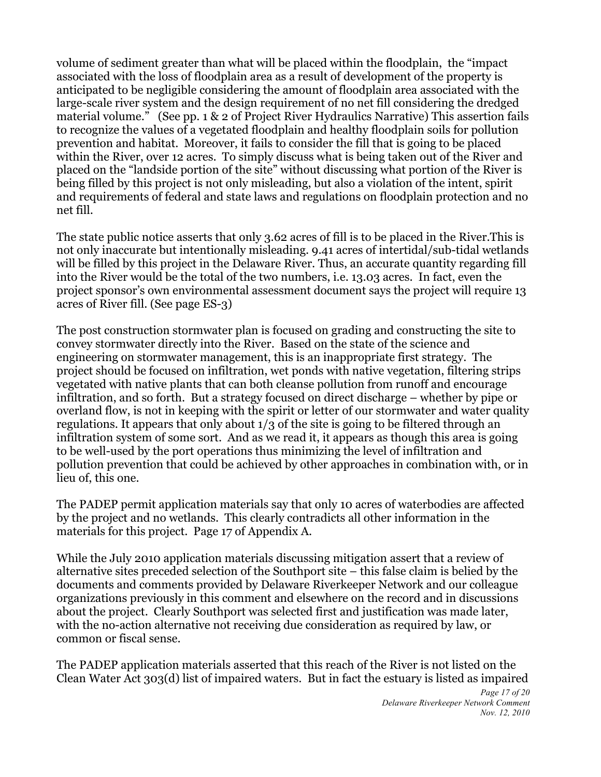volume of sediment greater than what will be placed within the floodplain, the "impact associated with the loss of floodplain area as a result of development of the property is anticipated to be negligible considering the amount of floodplain area associated with the large-scale river system and the design requirement of no net fill considering the dredged material volume." (See pp. 1 & 2 of Project River Hydraulics Narrative) This assertion fails to recognize the values of a vegetated floodplain and healthy floodplain soils for pollution prevention and habitat. Moreover, it fails to consider the fill that is going to be placed within the River, over 12 acres. To simply discuss what is being taken out of the River and placed on the "landside portion of the site" without discussing what portion of the River is being filled by this project is not only misleading, but also a violation of the intent, spirit and requirements of federal and state laws and regulations on floodplain protection and no net fill.

The state public notice asserts that only 3.62 acres of fill is to be placed in the River.This is not only inaccurate but intentionally misleading. 9.41 acres of intertidal/sub-tidal wetlands will be filled by this project in the Delaware River. Thus, an accurate quantity regarding fill into the River would be the total of the two numbers, i.e. 13.03 acres. In fact, even the project sponsor's own environmental assessment document says the project will require 13 acres of River fill. (See page ES-3)

The post construction stormwater plan is focused on grading and constructing the site to convey stormwater directly into the River. Based on the state of the science and engineering on stormwater management, this is an inappropriate first strategy. The project should be focused on infiltration, wet ponds with native vegetation, filtering strips vegetated with native plants that can both cleanse pollution from runoff and encourage infiltration, and so forth. But a strategy focused on direct discharge – whether by pipe or overland flow, is not in keeping with the spirit or letter of our stormwater and water quality regulations. It appears that only about 1/3 of the site is going to be filtered through an infiltration system of some sort. And as we read it, it appears as though this area is going to be well-used by the port operations thus minimizing the level of infiltration and pollution prevention that could be achieved by other approaches in combination with, or in lieu of, this one.

The PADEP permit application materials say that only 10 acres of waterbodies are affected by the project and no wetlands. This clearly contradicts all other information in the materials for this project. Page 17 of Appendix A.

While the July 2010 application materials discussing mitigation assert that a review of alternative sites preceded selection of the Southport site – this false claim is belied by the documents and comments provided by Delaware Riverkeeper Network and our colleague organizations previously in this comment and elsewhere on the record and in discussions about the project. Clearly Southport was selected first and justification was made later, with the no-action alternative not receiving due consideration as required by law, or common or fiscal sense.

The PADEP application materials asserted that this reach of the River is not listed on the Clean Water Act 303(d) list of impaired waters. But in fact the estuary is listed as impaired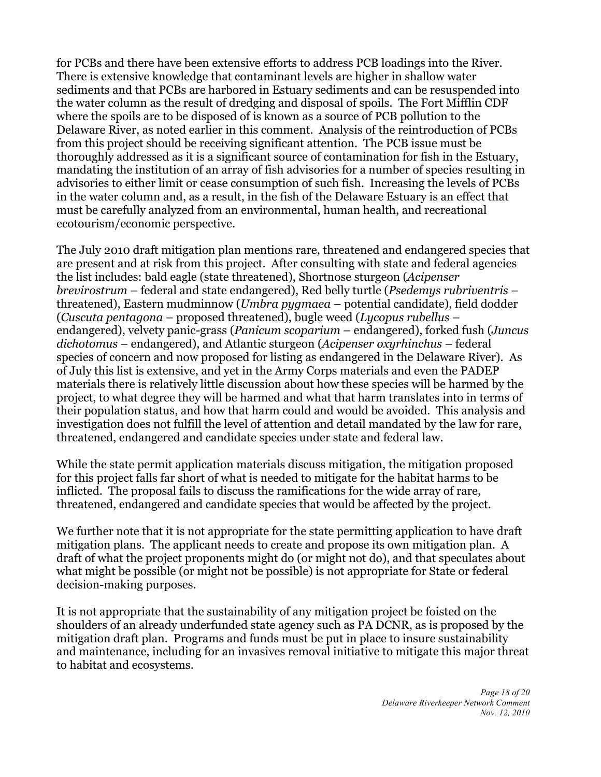for PCBs and there have been extensive efforts to address PCB loadings into the River. There is extensive knowledge that contaminant levels are higher in shallow water sediments and that PCBs are harbored in Estuary sediments and can be resuspended into the water column as the result of dredging and disposal of spoils. The Fort Mifflin CDF where the spoils are to be disposed of is known as a source of PCB pollution to the Delaware River, as noted earlier in this comment. Analysis of the reintroduction of PCBs from this project should be receiving significant attention. The PCB issue must be thoroughly addressed as it is a significant source of contamination for fish in the Estuary, mandating the institution of an array of fish advisories for a number of species resulting in advisories to either limit or cease consumption of such fish. Increasing the levels of PCBs in the water column and, as a result, in the fish of the Delaware Estuary is an effect that must be carefully analyzed from an environmental, human health, and recreational ecotourism/economic perspective.

The July 2010 draft mitigation plan mentions rare, threatened and endangered species that are present and at risk from this project. After consulting with state and federal agencies the list includes: bald eagle (state threatened), Shortnose sturgeon (*Acipenser brevirostrum* – federal and state endangered), Red belly turtle (*Psedemys rubriventris* – threatened), Eastern mudminnow (*Umbra pygmaea* – potential candidate), field dodder (*Cuscuta pentagona* – proposed threatened), bugle weed (*Lycopus rubellus* – endangered), velvety panic-grass (*Panicum scoparium* – endangered), forked fush (*Juncus dichotomus* – endangered), and Atlantic sturgeon (*Acipenser oxyrhinchus* – federal species of concern and now proposed for listing as endangered in the Delaware River). As of July this list is extensive, and yet in the Army Corps materials and even the PADEP materials there is relatively little discussion about how these species will be harmed by the project, to what degree they will be harmed and what that harm translates into in terms of their population status, and how that harm could and would be avoided. This analysis and investigation does not fulfill the level of attention and detail mandated by the law for rare, threatened, endangered and candidate species under state and federal law.

While the state permit application materials discuss mitigation, the mitigation proposed for this project falls far short of what is needed to mitigate for the habitat harms to be inflicted. The proposal fails to discuss the ramifications for the wide array of rare, threatened, endangered and candidate species that would be affected by the project.

We further note that it is not appropriate for the state permitting application to have draft mitigation plans. The applicant needs to create and propose its own mitigation plan. A draft of what the project proponents might do (or might not do), and that speculates about what might be possible (or might not be possible) is not appropriate for State or federal decision-making purposes.

It is not appropriate that the sustainability of any mitigation project be foisted on the shoulders of an already underfunded state agency such as PA DCNR, as is proposed by the mitigation draft plan. Programs and funds must be put in place to insure sustainability and maintenance, including for an invasives removal initiative to mitigate this major threat to habitat and ecosystems.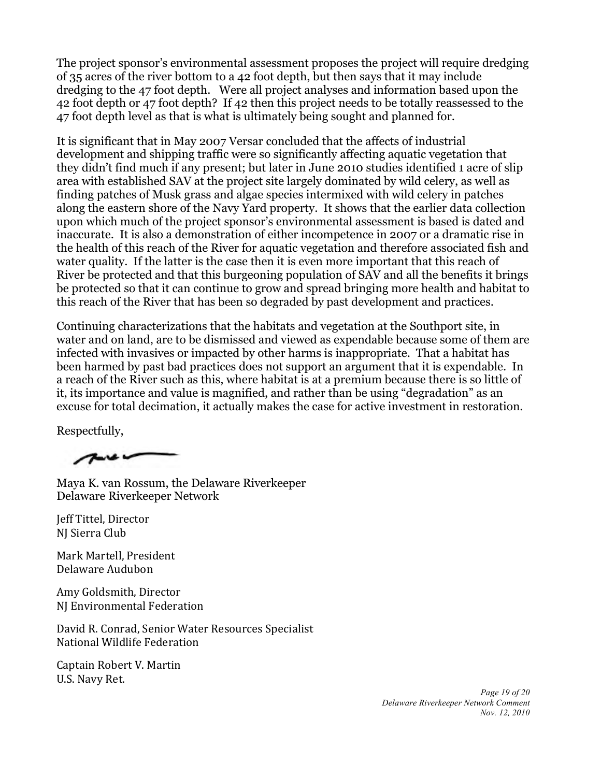The project sponsor's environmental assessment proposes the project will require dredging of 35 acres of the river bottom to a 42 foot depth, but then says that it may include dredging to the 47 foot depth. Were all project analyses and information based upon the 42 foot depth or 47 foot depth? If 42 then this project needs to be totally reassessed to the 47 foot depth level as that is what is ultimately being sought and planned for.

It is significant that in May 2007 Versar concluded that the affects of industrial development and shipping traffic were so significantly affecting aquatic vegetation that they didn't find much if any present; but later in June 2010 studies identified 1 acre of slip area with established SAV at the project site largely dominated by wild celery, as well as finding patches of Musk grass and algae species intermixed with wild celery in patches along the eastern shore of the Navy Yard property. It shows that the earlier data collection upon which much of the project sponsor's environmental assessment is based is dated and inaccurate. It is also a demonstration of either incompetence in 2007 or a dramatic rise in the health of this reach of the River for aquatic vegetation and therefore associated fish and water quality. If the latter is the case then it is even more important that this reach of River be protected and that this burgeoning population of SAV and all the benefits it brings be protected so that it can continue to grow and spread bringing more health and habitat to this reach of the River that has been so degraded by past development and practices.

Continuing characterizations that the habitats and vegetation at the Southport site, in water and on land, are to be dismissed and viewed as expendable because some of them are infected with invasives or impacted by other harms is inappropriate. That a habitat has been harmed by past bad practices does not support an argument that it is expendable. In a reach of the River such as this, where habitat is at a premium because there is so little of it, its importance and value is magnified, and rather than be using "degradation" as an excuse for total decimation, it actually makes the case for active investment in restoration.

Respectfully,

 $7 - 6$ 

Maya K. van Rossum, the Delaware Riverkeeper Delaware Riverkeeper Network

Jeff Tittel, Director NJ Sierra Club

Mark Martell, President Delaware Audubon

Amy Goldsmith, Director NJ Environmental Federation

David R. Conrad, Senior Water Resources Specialist National Wildlife Federation

Captain Robert V. Martin U.S. Navy Ret.